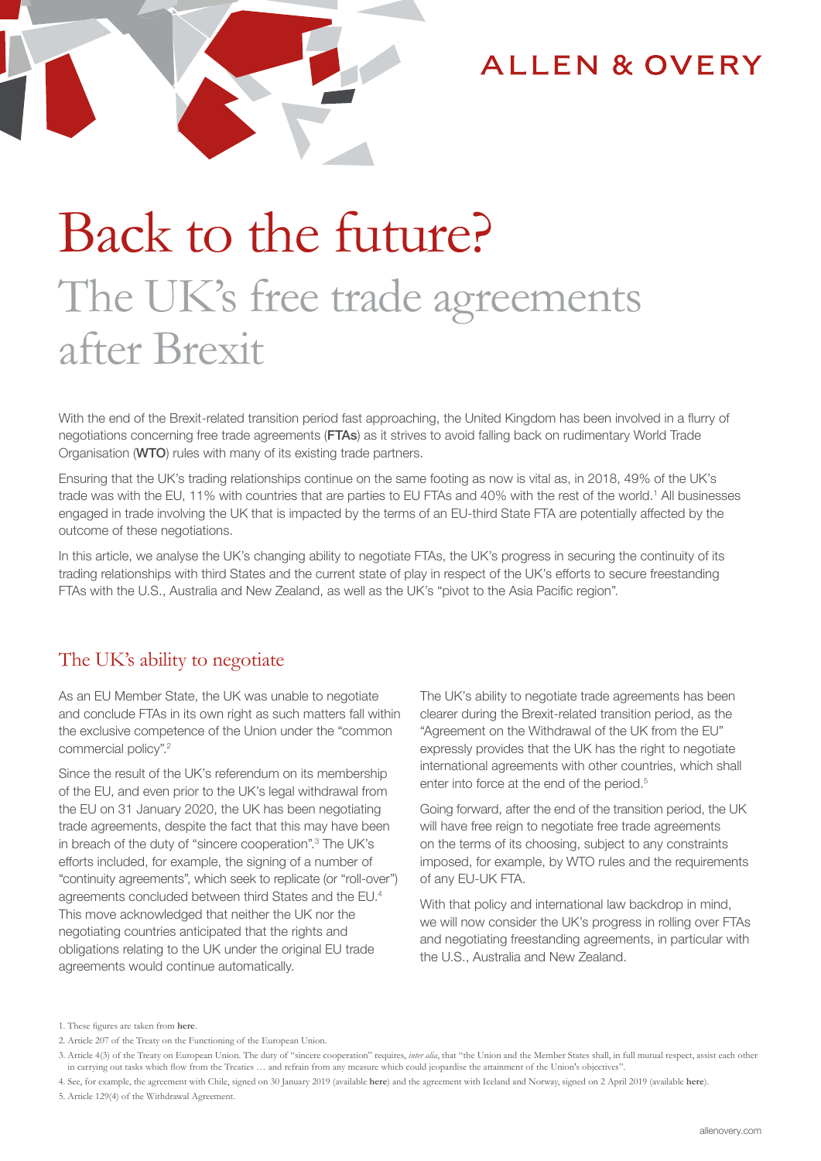

## **ALLEN & OVERY**

# Back to the future? The UK's free trade agreements after Brexit

With the end of the Brexit-related transition period fast approaching, the United Kingdom has been involved in a flurry of negotiations concerning free trade agreements (FTAs) as it strives to avoid falling back on rudimentary World Trade Organisation (WTO) rules with many of its existing trade partners.

Ensuring that the UK's trading relationships continue on the same footing as now is vital as, in 2018, 49% of the UK's trade was with the EU, 11% with countries that are parties to EU FTAs and 40% with the rest of the world.<sup>1</sup> All businesses engaged in trade involving the UK that is impacted by the terms of an EU-third State FTA are potentially affected by the outcome of these negotiations.

In this article, we analyse the UK's changing ability to negotiate FTAs, the UK's progress in securing the continuity of its trading relationships with third States and the current state of play in respect of the UK's efforts to secure freestanding FTAs with the U.S., Australia and New Zealand, as well as the UK's "pivot to the Asia Pacific region".

## The UK's ability to negotiate

As an EU Member State, the UK was unable to negotiate and conclude FTAs in its own right as such matters fall within the exclusive competence of the Union under the "common commercial policy".2

Since the result of the UK's referendum on its membership of the EU, and even prior to the UK's legal withdrawal from the EU on 31 January 2020, the UK has been negotiating trade agreements, despite the fact that this may have been in breach of the duty of "sincere cooperation".<sup>3</sup> The UK's efforts included, for example, the signing of a number of "continuity agreements", which seek to replicate (or "roll-over") agreements concluded between third States and the EU.4 This move acknowledged that neither the UK nor the negotiating countries anticipated that the rights and obligations relating to the UK under the original EU trade agreements would continue automatically.

The UK's ability to negotiate trade agreements has been clearer during the Brexit-related transition period, as the "Agreement on the Withdrawal of the UK from the EU" expressly provides that the UK has the right to negotiate international agreements with other countries, which shall enter into force at the end of the period.<sup>5</sup>

Going forward, after the end of the transition period, the UK will have free reign to negotiate free trade agreements on the terms of its choosing, subject to any constraints imposed, for example, by WTO rules and the requirements of any EU-UK FTA.

With that policy and international law backdrop in mind, we will now consider the UK's progress in rolling over FTAs and negotiating freestanding agreements, in particular with the U.S., Australia and New Zealand.

1. These figures are taken from **[here](https://www.bbc.co.uk/news/uk-47213842)**.

<sup>2.</sup> Article 207 of the Treaty on the Functioning of the European Union.

<sup>3.</sup> Article 4(3) of the Treaty on European Union. The duty of "sincere cooperation" requires, *inter alia*, that "the Union and the Member States shall, in full mutual respect, assist each other in carrying out tasks which flow from the Treaties ... and refrain from any measure which could jeopardise the attainment of the Union's objectives

<sup>4.</sup> See, for example, the agreement with Chile, signed on 30 January 2019 (available **[here](https://assets.publishing.service.gov.uk/government/uploads/system/uploads/attachment_data/file/776912/CS_Chile_2.2019_Association.pdf)**) and the agreement with Iceland and Norway, signed on 2 April 2019 (available **[here](https://assets.publishing.service.gov.uk/government/uploads/system/uploads/attachment_data/file/795291/MS_17.2019_Iceland_Norway_Trade.pdf)**). 5. Article 129(4) of the Withdrawal Agreement.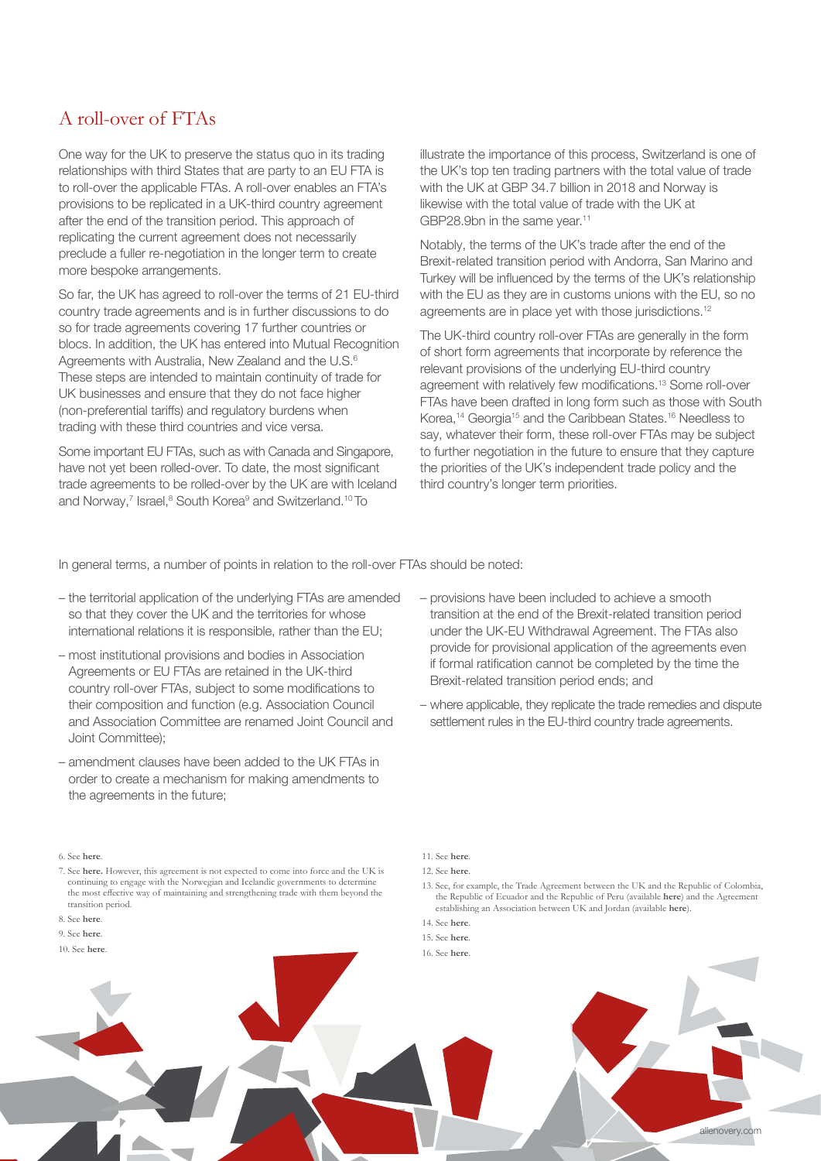## A roll-over of FTAs

One way for the UK to preserve the status quo in its trading relationships with third States that are party to an EU FTA is to roll-over the applicable FTAs. A roll-over enables an FTA's provisions to be replicated in a UK-third country agreement after the end of the transition period. This approach of replicating the current agreement does not necessarily preclude a fuller re-negotiation in the longer term to create more bespoke arrangements.

So far, the UK has agreed to roll-over the terms of 21 EU-third country trade agreements and is in further discussions to do so for trade agreements covering 17 further countries or blocs. In addition, the UK has entered into Mutual Recognition Agreements with Australia, New Zealand and the U.S.<sup>6</sup> These steps are intended to maintain continuity of trade for UK businesses and ensure that they do not face higher (non-preferential tariffs) and regulatory burdens when trading with these third countries and vice versa.

Some important EU FTAs, such as with Canada and Singapore, have not yet been rolled-over. To date, the most significant trade agreements to be rolled-over by the UK are with Iceland and Norway,<sup>7</sup> Israel,<sup>8</sup> South Korea<sup>9</sup> and Switzerland.<sup>10</sup> To

illustrate the importance of this process, Switzerland is one of the UK's top ten trading partners with the total value of trade with the UK at GBP 34.7 billion in 2018 and Norway is likewise with the total value of trade with the UK at GBP28.9bn in the same year.<sup>11</sup>

Notably, the terms of the UK's trade after the end of the Brexit-related transition period with Andorra, San Marino and Turkey will be influenced by the terms of the UK's relationship with the EU as they are in customs unions with the EU, so no agreements are in place yet with those jurisdictions.12

The UK-third country roll-over FTAs are generally in the form of short form agreements that incorporate by reference the relevant provisions of the underlying EU-third country agreement with relatively few modifications.13 Some roll-over FTAs have been drafted in long form such as those with South Korea,<sup>14</sup> Georgia15 and the Caribbean States.16 Needless to say, whatever their form, these roll-over FTAs may be subject to further negotiation in the future to ensure that they capture the priorities of the UK's independent trade policy and the third country's longer term priorities.

In general terms, a number of points in relation to the roll-over FTAs should be noted:

- the territorial application of the underlying FTAs are amended so that they cover the UK and the territories for whose international relations it is responsible, rather than the EU;
- most institutional provisions and bodies in Association Agreements or EU FTAs are retained in the UK-third country roll-over FTAs, subject to some modifications to their composition and function (e.g. Association Council and Association Committee are renamed Joint Council and Joint Committee);
- amendment clauses have been added to the UK FTAs in order to create a mechanism for making amendments to the agreements in the future;
- provisions have been included to achieve a smooth transition at the end of the Brexit-related transition period under the UK-EU Withdrawal Agreement. The FTAs also provide for provisional application of the agreements even if formal ratification cannot be completed by the time the Brexit-related transition period ends; and
- where applicable, they replicate the trade remedies and dispute settlement rules in the EU-third country trade agreements.

#### 6. See **[here](https://www.gov.uk/guidance/uk-trade-agreements-with-non-eu-countries)**.

7. See **[here.](https://assets.publishing.service.gov.uk/government/uploads/system/uploads/attachment_data/file/795291/MS_17.2019_Iceland_Norway_Trade.pdf)** However, this agreement is not expected to come into force and the UK is continuing to engage with the Norwegian and Icelandic governments to determine the most effective way of maintaining and strengthening trade with them beyond the transition period.

9. See **[here](https://www.gov.uk/government/collections/uk-south-korea-trade-agreement)**.

11. See **[here](https://assets.publishing.service.gov.uk/government/uploads/system/uploads/attachment_data/file/868378/200227_UK_trade_in_Numbers_full_web_version_final.pdf)**.

13. See, for example, the Trade Agreement between the UK and the Republic of Colombia, the Republic of Ecuador and the Republic of Peru (available **[here](https://www.gov.uk/government/collections/uk-andean-countries-trade-agreement)**) and the Agreement establishing an Association between UK and Jordan (available **[here](https://www.gov.uk/government/collections/uk-andean-countries-trade-agreement)**).

15. See **[here](https://www.gov.uk/government/collections/uk-georgia-strategic-partnership-and-cooperation-agreement--2)**.



<sup>8.</sup> See **[here](https://assets.publishing.service.gov.uk/government/uploads/system/uploads/attachment_data/file/781440/CS_Israel_1.2019_Trade.pdf)**.

<sup>12.</sup> See **[here](https://www.gov.uk/guidance/uk-trade-agreements-with-non-eu-countries)**.

<sup>14.</sup> See **[here](https://www.gov.uk/government/collections/uk-south-korea-trade-agreement)**.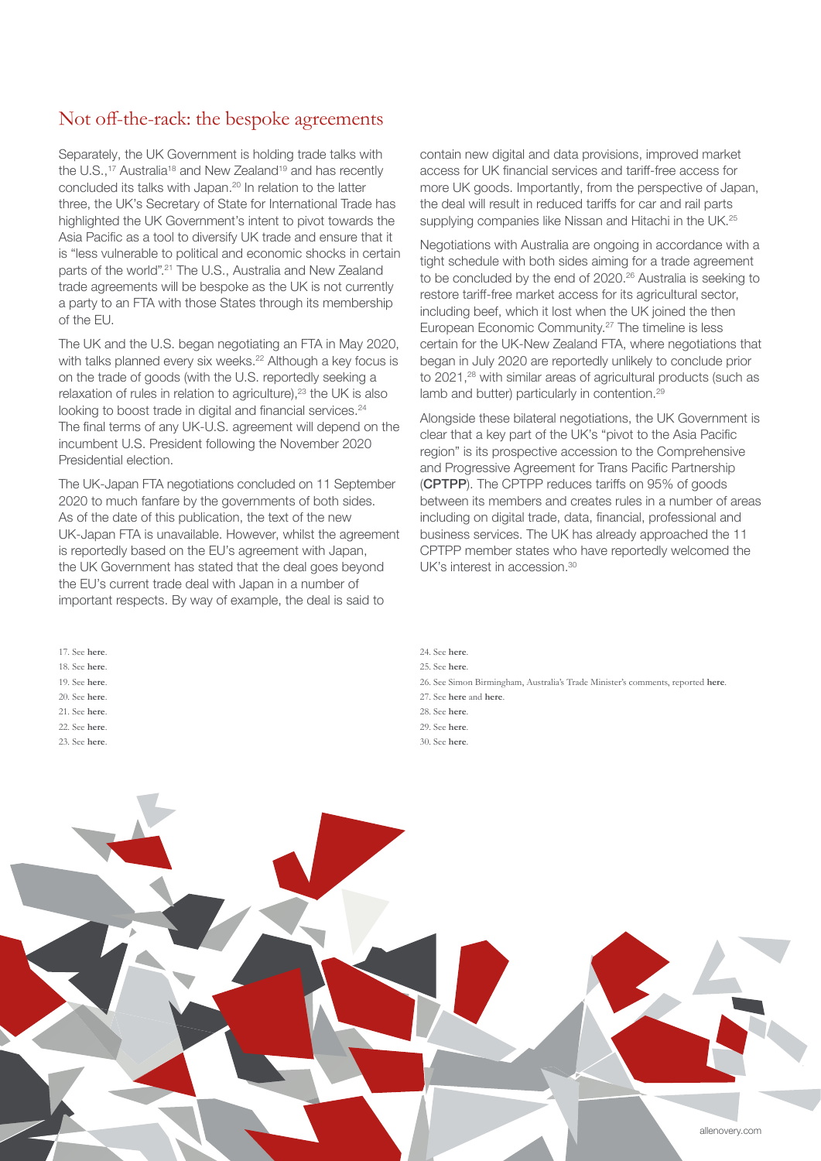## Not off-the-rack: the bespoke agreements

Separately, the UK Government is holding trade talks with the U.S.,<sup>17</sup> Australia<sup>18</sup> and New Zealand<sup>19</sup> and has recently concluded its talks with Japan.<sup>20</sup> In relation to the latter three, the UK's Secretary of State for International Trade has highlighted the UK Government's intent to pivot towards the Asia Pacific as a tool to diversify UK trade and ensure that it is "less vulnerable to political and economic shocks in certain parts of the world".<sup>21</sup> The U.S., Australia and New Zealand trade agreements will be bespoke as the UK is not currently a party to an FTA with those States through its membership of the EU.

The UK and the U.S. began negotiating an FTA in May 2020, with talks planned every six weeks.<sup>22</sup> Although a key focus is on the trade of goods (with the U.S. reportedly seeking a relaxation of rules in relation to agriculture),<sup>23</sup> the UK is also looking to boost trade in digital and financial services.<sup>24</sup> The final terms of any UK-U.S. agreement will depend on the incumbent U.S. President following the November 2020 Presidential election.

The UK-Japan FTA negotiations concluded on 11 September 2020 to much fanfare by the governments of both sides. As of the date of this publication, the text of the new UK-Japan FTA is unavailable. However, whilst the agreement is reportedly based on the EU's agreement with Japan, the UK Government has stated that the deal goes beyond the EU's current trade deal with Japan in a number of important respects. By way of example, the deal is said to

17. See **[here](https://www.gov.uk/government/news/negotiations-on-the-uks-future-trading-relationship-with-the-us-update)**. 18. See **[here](https://www.gov.uk/government/news/negotiations-on-the-uks-future-trading-relationship-with-australia-update)**. 19. See **[here](https://www.gov.uk/government/news/statement-on-launch-of-uk-new-zealand-fta)**. 20. See **[here](https://www.gov.uk/government/news/uk-and-japan-agree-historic-free-trade-agreement)**. 21. See **[here](https://www.ft.com/content/750b31e2-63ca-404f-be03-0753c294e8a9)**. 22. See **[here](https://www.gov.uk/government/news/uk-and-us-start-trade-negotiations)**. 23. See **[here](https://www.ft.com/content/a5f8eeb1-2c49-4125-927d-1ff0762dfdb5)**. contain new digital and data provisions, improved market access for UK financial services and tariff-free access for more UK goods. Importantly, from the perspective of Japan, the deal will result in reduced tariffs for car and rail parts supplying companies like Nissan and Hitachi in the UK.<sup>25</sup>

Negotiations with Australia are ongoing in accordance with a tight schedule with both sides aiming for a trade agreement to be concluded by the end of 2020.<sup>26</sup> Australia is seeking to restore tariff-free market access for its agricultural sector, including beef, which it lost when the UK joined the then European Economic Community.27 The timeline is less certain for the UK-New Zealand FTA, where negotiations that began in July 2020 are reportedly unlikely to conclude prior to 2021,<sup>28</sup> with similar areas of agricultural products (such as lamb and butter) particularly in contention.29

Alongside these bilateral negotiations, the UK Government is clear that a key part of the UK's "pivot to the Asia Pacific region" is its prospective accession to the Comprehensive and Progressive Agreement for Trans Pacific Partnership (CPTPP). The CPTPP reduces tariffs on 95% of goods between its members and creates rules in a number of areas including on digital trade, data, financial, professional and business services. The UK has already approached the 11 CPTPP member states who have reportedly welcomed the UK's interest in accession.<sup>30</sup>

24. See **[here](https://assets.publishing.service.gov.uk/government/uploads/system/uploads/attachment_data/file/869592/UK_US_FTA_negotiations.pdf)**. 25. See **[here](https://www.gov.uk/government/news/uk-and-japan-agree-historic-free-trade-agreement)**. 26. See Simon Birmingham, Australia's Trade Minister's comments, reported **[here](https://www.ft.com/content/750b31e2-63ca-404f-be03-0753c294e8a9)**. 27. See **[here](https://www.ft.com/content/750b31e2-63ca-404f-be03-0753c294e8a9)** and **[here](https://www.dfat.gov.au/trade/agreements/negotiations/aukfta/negotiating-aims-and-approach)**. 28. See **[here](https://www.bbc.co.uk/news/uk-politics-53755640)**. 29. See **[here](https://www.mfat.govt.nz/en/trade/free-trade-agreements/agreements-under-negotiation/new-zealand-united-kingdom-free-trade-agreement/what-we-are-negotiating/)**. 30. See **[here](https://www.gov.uk/government/publications/uk-approach-to-joining-the-cptpp-trade-agreement/an-update-on-the-uks-position-on-accession-to-the-comprehensive-and-progressive-agreement-for-trans-pacific-partnership-cptpp)**.